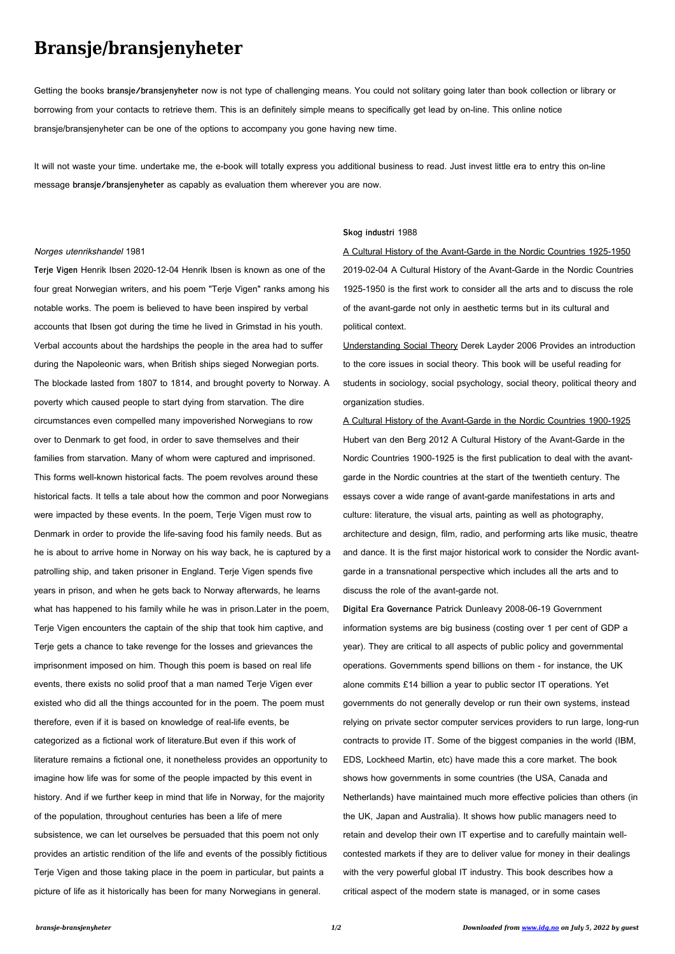## **Bransje/bransjenyheter**

Getting the books **bransje/bransjenyheter** now is not type of challenging means. You could not solitary going later than book collection or library or borrowing from your contacts to retrieve them. This is an definitely simple means to specifically get lead by on-line. This online notice bransje/bransjenyheter can be one of the options to accompany you gone having new time.

It will not waste your time. undertake me, the e-book will totally express you additional business to read. Just invest little era to entry this on-line message **bransje/bransjenyheter** as capably as evaluation them wherever you are now.

## Norges utenrikshandel 1981

**Terje Vigen** Henrik Ibsen 2020-12-04 Henrik Ibsen is known as one of the four great Norwegian writers, and his poem "Terje Vigen" ranks among his notable works. The poem is believed to have been inspired by verbal accounts that Ibsen got during the time he lived in Grimstad in his youth. Verbal accounts about the hardships the people in the area had to suffer during the Napoleonic wars, when British ships sieged Norwegian ports. The blockade lasted from 1807 to 1814, and brought poverty to Norway. A poverty which caused people to start dying from starvation. The dire circumstances even compelled many impoverished Norwegians to row over to Denmark to get food, in order to save themselves and their families from starvation. Many of whom were captured and imprisoned. This forms well-known historical facts. The poem revolves around these historical facts. It tells a tale about how the common and poor Norwegians were impacted by these events. In the poem, Terje Vigen must row to Denmark in order to provide the life-saving food his family needs. But as he is about to arrive home in Norway on his way back, he is captured by a patrolling ship, and taken prisoner in England. Terje Vigen spends five years in prison, and when he gets back to Norway afterwards, he learns what has happened to his family while he was in prison.Later in the poem, Terje Vigen encounters the captain of the ship that took him captive, and Terje gets a chance to take revenge for the losses and grievances the imprisonment imposed on him. Though this poem is based on real life events, there exists no solid proof that a man named Terje Vigen ever existed who did all the things accounted for in the poem. The poem must therefore, even if it is based on knowledge of real-life events, be categorized as a fictional work of literature.But even if this work of literature remains a fictional one, it nonetheless provides an opportunity to imagine how life was for some of the people impacted by this event in history. And if we further keep in mind that life in Norway, for the majority of the population, throughout centuries has been a life of mere subsistence, we can let ourselves be persuaded that this poem not only provides an artistic rendition of the life and events of the possibly fictitious Terje Vigen and those taking place in the poem in particular, but paints a picture of life as it historically has been for many Norwegians in general.

## **Skog industri** 1988

A Cultural History of the Avant-Garde in the Nordic Countries 1925-1950 2019-02-04 A Cultural History of the Avant-Garde in the Nordic Countries 1925-1950 is the first work to consider all the arts and to discuss the role of the avant-garde not only in aesthetic terms but in its cultural and political context.

Understanding Social Theory Derek Layder 2006 Provides an introduction to the core issues in social theory. This book will be useful reading for students in sociology, social psychology, social theory, political theory and organization studies.

A Cultural History of the Avant-Garde in the Nordic Countries 1900-1925 Hubert van den Berg 2012 A Cultural History of the Avant-Garde in the Nordic Countries 1900-1925 is the first publication to deal with the avantgarde in the Nordic countries at the start of the twentieth century. The essays cover a wide range of avant-garde manifestations in arts and culture: literature, the visual arts, painting as well as photography, architecture and design, film, radio, and performing arts like music, theatre and dance. It is the first major historical work to consider the Nordic avantgarde in a transnational perspective which includes all the arts and to discuss the role of the avant-garde not.

**Digital Era Governance** Patrick Dunleavy 2008-06-19 Government information systems are big business (costing over 1 per cent of GDP a year). They are critical to all aspects of public policy and governmental operations. Governments spend billions on them - for instance, the UK alone commits £14 billion a year to public sector IT operations. Yet governments do not generally develop or run their own systems, instead relying on private sector computer services providers to run large, long-run contracts to provide IT. Some of the biggest companies in the world (IBM, EDS, Lockheed Martin, etc) have made this a core market. The book shows how governments in some countries (the USA, Canada and Netherlands) have maintained much more effective policies than others (in the UK, Japan and Australia). It shows how public managers need to retain and develop their own IT expertise and to carefully maintain wellcontested markets if they are to deliver value for money in their dealings with the very powerful global IT industry. This book describes how a critical aspect of the modern state is managed, or in some cases